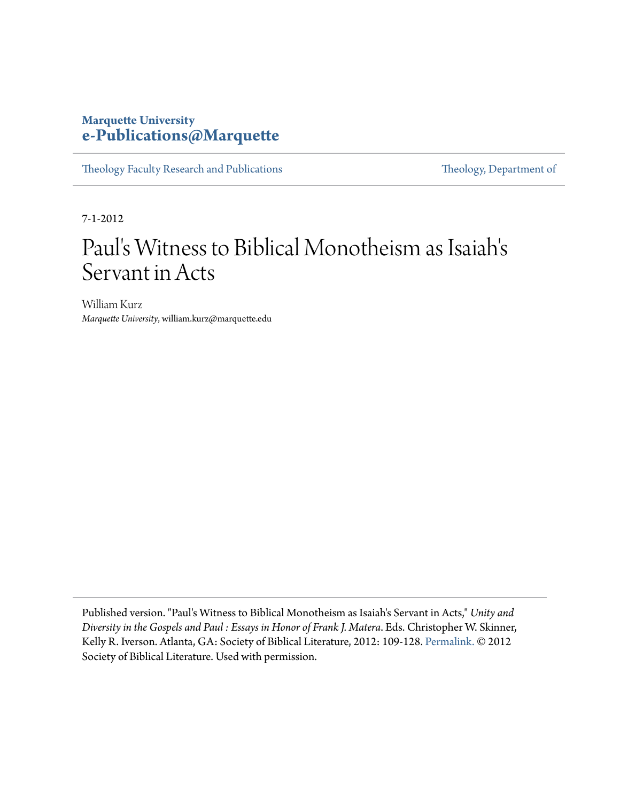## **Marquette University [e-Publications@Marquette](http://epublications.marquette.edu)**

[Theology Faculty Research and Publications](http://epublications.marquette.edu/theo_fac) [Theology, Department of](http://epublications.marquette.edu/Theology)

7-1-2012

# Paul's Witness to Biblical Monotheism as Isaiah' s Servant in Acts

William Kurz *Marquette University*, william.kurz@marquette.edu

Published version. "Paul's Witness to Biblical Monotheism as Isaiah's Servant in Acts," *Unity and Diversity in the Gospels and Paul : Essays in Honor of Frank J. Matera*. Eds. Christopher W. Skinner, Kelly R. Iverson. Atlanta, GA: Society of Biblical Literature, 2012: 109-128. [Permalink.](https://secure.aidcvt.com/sbl/ProdDetails.asp?ID=064507P&PG=1&Type=BL&PCS=SBL) © 2012 Society of Biblical Literature. Used with permission.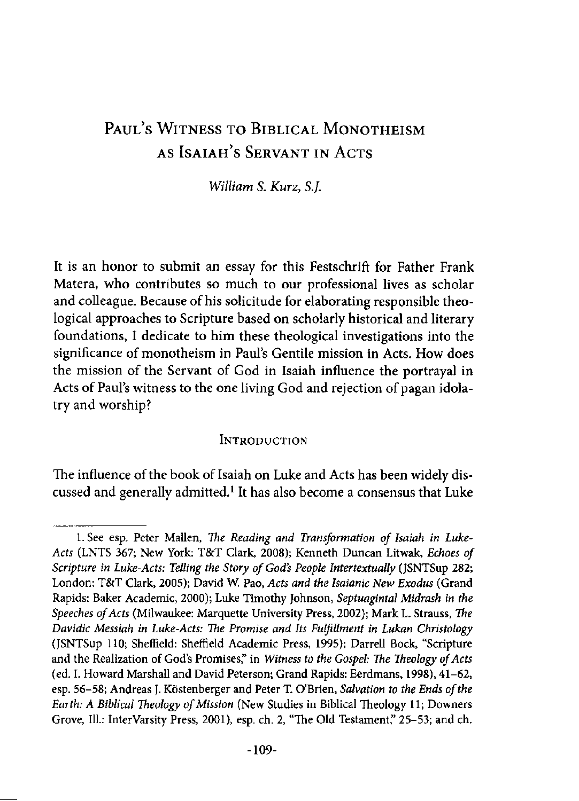### PAUL'S WITNESS TO BIBLICAL MONOTHEISM AS ISAIAH'S SERVANT IN ACTS

*William* S. *Kurz, S./.* 

It is an honor to submit an essay for this Festschrift for Father Frank Matera, who contributes so much to our professional lives as scholar and colleague. Because of his solicitude for elaborating responsible theological approaches to Scripture based on scholarly historical and literary foundations, I dedicate to him these theological investigations into the significance of monotheism in Paul's Gentile mission in Acts. How does the mission of the Servant of God in Isaiah influence the portrayal in Acts of Paul's witness to the one living God and rejection of pagan idolatry and worship?

#### **INTRODUCTION**

The influence of the book of Isaiah on Luke and Acts has been widely discussed and generally admitted.' It has also become a consensus that Luke

<sup>1.</sup> See esp. Peter Mallen, *The Reading and Transformation of Isaiah in Luke-Acts* (LNTS 367; New York: T&T Clark, 2008); Kenneth Duncan Litwak, *Echoes of Scripture in Luke·Acts: Telling the Story of Gods People Intertextually* (JSNTSup 282; London: T&T Clark, 2005); David W. Pao, *Acts and the Isaianic New Exodus* (Grand Rapids: Baker Academic, 2000); Luke Timothy Johnson, *Septuagintal Midrash in the Speeches of Acts* (Milwaukee: Marquette University Press, 2002); Mark L. Strauss, *The Davidic Messiah in Luke·Acts: The Promise and Its Fulfillment in Lukan Christology*  (JSNTSup 110; Sheffield: Sheffield Academic Press, 1995); Darrell Bock, "Scripture and the Realization of God's Promises;' in *Witness to the Gospel: The Theology of Acts*  (ed. I. Howard Marshall and David Peterson; Grand Rapids: Eerdmans, 1998), 41-62, esp. 56-58; Andreas J. Kostenberger and Peter T. O'Brien, *Salvation to the Ends of the Earth: A Biblical Theology of Mission* (New Studies in Biblical Theology II; Downers Grove, Ill.: InterVarsity Press, 2001), esp. ch. 2, "The Old Testament;' 25-53; and ch.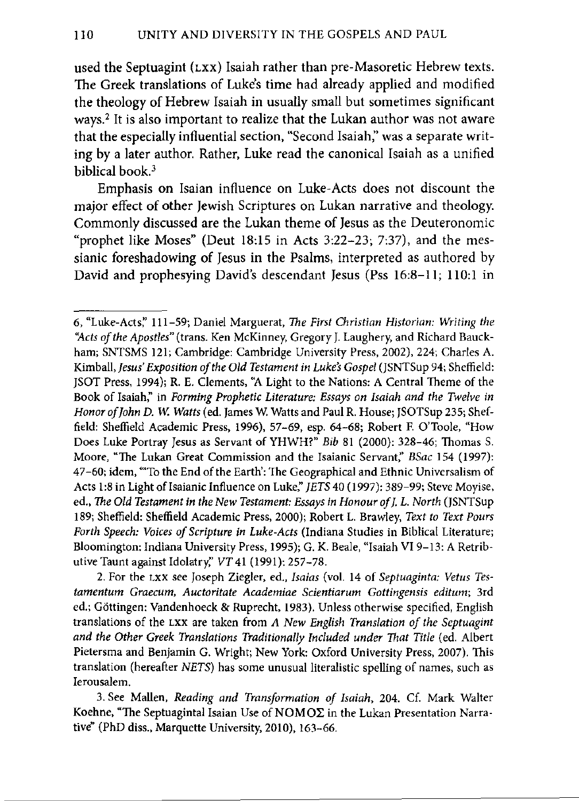used the Septuagint (LXX) Isaiah rather than pre-Masoretic Hebrew texts. The Greek translations of Luke's time had already applied and modified the theology of Hebrew Isaiah in usually small but sometimes significant ways.<sup>2</sup> It is also important to realize that the Lukan author was not aware that the especially influential section, "Second Isaiah," was a separate writing by a later author. Rather, Luke read the canonical Isaiah as a unified biblical book. 3

Emphasis on Isaian influence on Luke-Acts does not discount the major effect of other jewish Scriptures on Lukan narrative and theology. Commonly discussed are the Lukan theme of jesus as the Deuteronomic "prophet like Moses" (Deut 18:15 in Acts 3:22-23; 7:37), and the messianic foreshadowing of Jesus in the Psalms, interpreted as authored by David and prophesying David's descendant jesus (Pss 16:8-11; 110:] in

2. For the LXX see joseph Ziegler, ed., *Isaias* (vol. 14 of *Septuaginta: Vetus Testamentum Graecum, Auctoritate Academiae Scientiarum Gottingensis editum;* **3rd**  ed.; Göttingen: Vandenhoeck & Ruprecht, 1983). Unless otherwise specified, English **translations of the LXX are taken from** *A New English Translation of the Septuagint*  and the Other Greek Translations Traditionally Included under That Title (ed. Albert **Pietersma and Benjamin G. Wright; New York: Oxford University Press, 2007). This translation (hereafter** *NETS)* **has some** unusual literalistic **spelling of names, such as Ierousalem.** 

**<sup>6, &</sup>quot;Luke-Acts:' 111-59; Daniel Marguerat. The** *First Christian Historian: Writing the '>lets of the Apostles"* (trans. Ken McKinney, Gregory j. Laughery, and Richard Bauckham; SNTSMS 121; Cambridge: Cambridge University Press, 2002), 224; Charles A. Kimball, *Jesus' Exposition of the Old Testament in Lukes Gospel* ()SNTSup 94; Sheffield: jSOT Press, 1994); R. E. Clements, "A Light to the Nations: A Central Theme of the **Book of Isaiah," in** *Forming Prophetic Literature: Essays on Isaiah and the Twelve in Honor of John* D. W. *Watts* (ed. james W. Watts and Paul R. House; jSOTSup 235; Sheffield: Sheffield Academic Press, 1996), 57-69, esp. 64-68; Robert F. O'Toole, "How Does Luke Portray jesus as Servant of YHWH?" *Bib* 81 (2000): 328-46; Thomas S. **Moore, "The Lukan Great Commission and the Isaianic Servant;'** *BSac* **154 (1997):**  47-60; idem, "'To the End of the Earth': The Geographical and Ethnic Universalism of Acts 1:8 in Light of Isaianic Influence on Luke," *JETS* 40 (1997): 389-99; Steve Moyise, ed., The *Old Testament in the New Testament: Essays in Honour ofJ.* L. *North* ()SNTSup 189; Sheffield: Sheffield Academic Press, 2000); Robert L. Brawley, *Text to Text Pours Forth Speech: Voices of Scripture in Luke-Acts* **(Indiana Studies in Biblical Literature;**  Bloomington: Indiana University Press, 1995); G. K. Beale, "Isaiah VI 9-13: A Retributive Taunt against Idolatry;' *VT* 41 (1991): 257-78.

<sup>3.</sup> See Mallen, *Reading and Transformation of Isaiah,* 204. Cf. Mark Walter Koehne, "The Septuagintal Isaian Use of NOMO<sub>E</sub> in the Lukan Presentation Narrative" (PhD diss., Marquette University, 2010), 163-66.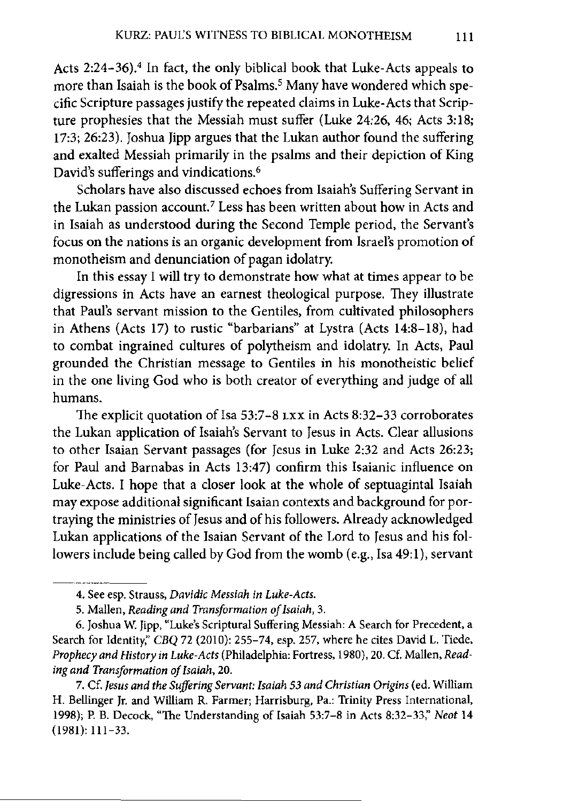Acts 2:24-36).<sup>4</sup> In fact, the only biblical book that Luke-Acts appeals to more than Isaiah is the book of Psalms.<sup>5</sup> Many have wondered which specific Scripture passages justify the repeated claims in Luke-Acts that Scripture prophesies that the Messiah must suffer (Luke 24:26, 46; Acts 3:18; 17:3; 26:23). Joshua Jipp argues that the Lukan author found the suffering and exalted Messiah primarily in the psalms and their depiction of King David's sufferings and vindications.6

Scholars have also discussed echoes from Isaiah's Suffering Servant in the Lukan passion account.<sup>7</sup> Less has been written about how in Acts and in Isaiah as understood during the Second Temple period, the Servant's focus on the nations is an organic development from Israel's promotion of monotheism and denunciation of pagan idolatry.

In this essay I will try to demonstrate how what at times appear to be digressions in Acts have an earnest theological purpose. They illustrate that Paul's servant mission to the Gentiles, from cultivated philosophers in Athens (Acts 17) to rustic "barbarians" at Lystra (Acts 14:8-18), had to combat ingrained cultures of polytheism and idolatry. In Acts, Paul grounded the Christian message to Gentiles in his monotheistic belief in the one living God who is both creator of everything and judge of all humans.

The explicit quotation of Isa 53:7-8 LXX in Acts 8:32-33 corroborates the Lukan application of Isaiah's Servant to Jesus in Acts. Clear allusions to other Isaian Servant passages (for Jesus in Luke 2:32 and Acts 26:23; for Paul and Barnabas in Acts 13:47) confirm this Isaianic influence on Luke-Acts. I hope that a closer look at the whole of septuagintal Isaiah may expose additional significant Isaian contexts and background for portraying the ministries of Jesus and of his followers. Already acknowledged Lukan applications of the Isaian Servant of the Lord to Jesus and his followers include being called by God from the womb (e.g., Isa 49:1), servant

7. Cf. *'esus and the Suffering Servant: Isaiah* 53 *and Christian Origins* (ed. William **H. Bellinger Jr. and William R. Farmer; Harrisburg. Pa.: Trinity Press International,**  1998); P. B. Decock, "The Understanding of Isaiah 53:7-8 in Acts 8:32-33," *Neot 14*  (1981): 111-33.

**<sup>4.</sup> See esp. Strauss,** *Davidic Messiah in Luke-Acts.* 

<sup>5.</sup> Mallen, *Reading and Transformation of Isaiah, 3.* 

<sup>6.</sup> Joshua W Jipp, "Luke's Scriptural Suffering Messiah: A Search for Precedent, a Search for Identity," *CBQ 72 (2010): 255-74, esp. 257, where he cites David L. Tiede, Prophecy and History in Luke-Acts* (Philadelphia: Fortress, 1980),20. Cf. Mallen, *Reading and Transformation of Isaiah, 20.*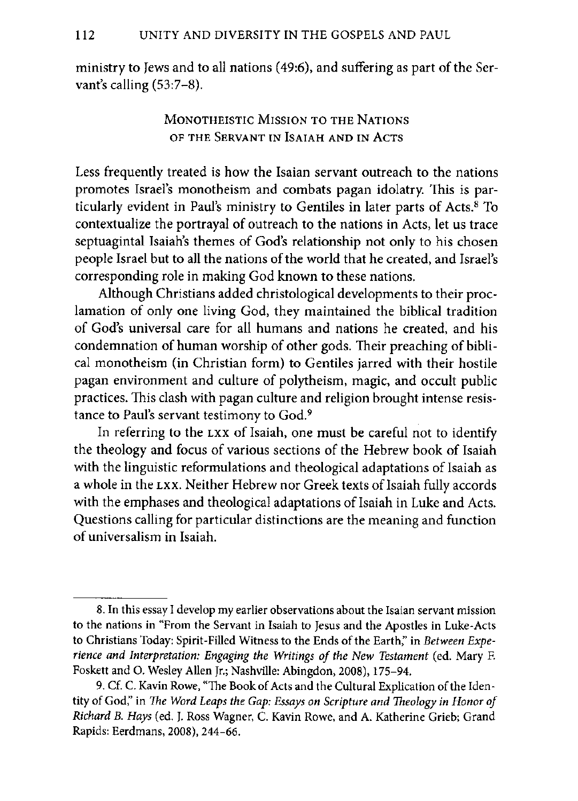ministry to Jews and to all nations (49:6), and suffering as part of the Servant's calling (53:7-8).

> MONOTHEISTIC MISSION TO THE NATIONS OF THE SERVANT IN ISAIAH AND IN ACTS

Less frequently treated is how the Isaian servant outreach to the nations promotes Israel's monotheism and combats pagan idolatry. This is particularly evident in Paul's ministry to Gentiles in later parts of Acts. $8$  To contextualize the portrayal of outreach to the nations in Acts, let us trace septuagintal Isaiah's themes of God's relationship not only to his chosen people Israel but to all the nations of the world that he created, and Israel's corresponding role in making God known to these nations.

Although Christians added christological developments to their proclamation of only one living God, they maintained the biblical tradition of God's universal care for all humans and nations he created, and his condemnation of human worship of other gods. Their preaching of biblical monotheism (in Christian form) to Gentiles jarred with their hostile pagan environment and culture of polytheism, magic, and occult public practices. This clash with pagan culture and religion brought intense resistance to Paul's servant testimony to God.<sup>9</sup>

In referring to the LXX of Isaiah, one must be careful not to identify the theology and focus of various sections of the Hebrew book of Isaiah with the linguistic reformulations and theological adaptations of Isaiah as a whole in the LXX. Neither Hebrew nor Greek texts of Isaiah fully accords with the emphases and theological adaptations of Isaiah in Luke and Acts. Questions calling for particular distinctions are the meaning and function of universalism in Isaiah.

<sup>-------</sup> **8. In this essay I develop my earlier observations about the Isaian servant mission to the nations in "From the Servant in Isaiah to Jesus and the Apostles in Luke-Acts**  to Christians Today: Spirit-Filled Witness to the Ends of the Earth;' in *Between Experience and Interpretation: Engaging the Writings of the New Testament* **(ed. Mary F.**  Foskett and O. Wesley Allen Ir.; Nashville: Abingdon, 2008), 175-94.

<sup>9.</sup> Cf. C. Kavin Rowe, "The Book of Acts and the Cultural Explication of the Identity of God;' in *The Word Leaps the Gap: Essays on Scripture and Theology in Honor of Richard B. Hays* (ed. I. Ross Wagner, C. Kavin Rowe, and A. Katherine Grieb; Grand Rapids: Eerdmans, 2008), 244-66.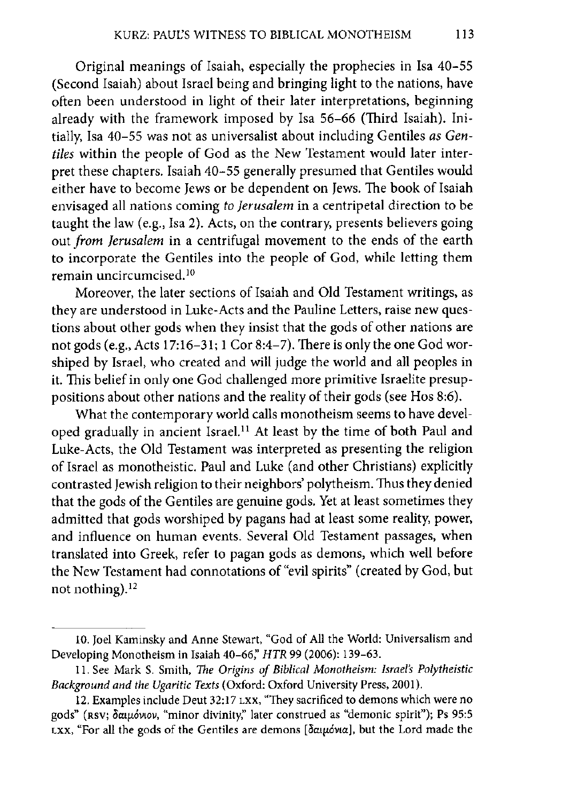Original meanings of Isaiah, especially the prophecies in Isa 40-55 (Second Isaiah) about Israel being and bringing light to the nations, have often been understood in light of their later interpretations, beginning already with the framework imposed by Isa 56-66 (Third Isaiah). Initially, Isa 40-55 was not as universalist about including Gentiles *as Gentiles* within the people of God as the New Testament would later interpret these chapters. Isaiah 40-55 generally presumed that Gentiles would either have to become Jews or be dependent on Jews. The book of Isaiah envisaged all nations coming *to Jerusalem* in a centripetal direction to be taught the law (e.g., Isa 2). Acts, on the contrary, presents believers going out *from Jerusalem* in a centrifugal movement to the ends of the earth to incorporate the Gentiles into the people of God, while letting them **remain uncircumcised.1O** 

Moreover, the later sections of Isaiah and Old Testament writings, as they are understood in Luke-Acts and the Pauline Letters, raise new questions about other gods when they insist that the gods of other nations are not gods (e.g., Acts 17:16-31; 1 Cor 8:4-7). There is only the one God worshiped by Israel, who created and will judge the world and all peoples in it. This belief in only one God challenged more primitive Israelite presuppositions about other nations and the reality of their gods (see Hos 8:6).

What the contemporary world calls monotheism seems to have developed gradually in ancient Israel.!! At least by the time of both Paul and Luke-Acts, the Old Testament was interpreted as presenting the religion of Israel as monotheistic. Paul and Luke (and other Christians) explicitly contrasted Jewish religion to their neighbors' polytheism. Thus they denied that the gods of the Gentiles are genuine gods. Yet at least sometimes they admitted that gods worshiped by pagans had at least some reality, power, and influence on human events. Several Old Testament passages, when translated into Greek, refer to pagan gods as demons, which well before the New Testament had connotations of "evil spirits" (created by God, but not nothing).<sup>12</sup>

<sup>10. )</sup>oe1 Kaminsky and Anne Stewart, "God of All the World: Universalism and Developing Monotheism in Isaiah 40-66;' *HTR* 99 (2006): 139-63.

<sup>11.</sup> See Mark S. Smith, *The Origins of Biblical Monotheism: Israel's Polytheistic Background and the Ugaritic Texts* (Oxford: Oxford University Press, 2001).

**<sup>12.</sup> Examples include Deut 32:17 LXX, "They sacrificed to demons which were no**  gods" (RSV; δαιμόνιον, "minor divinity," later construed as "demonic spirit"); Ps 95:5 LXX, "For all the gods of the Gentiles are demons [ $\delta$ aluóvla], but the Lord made the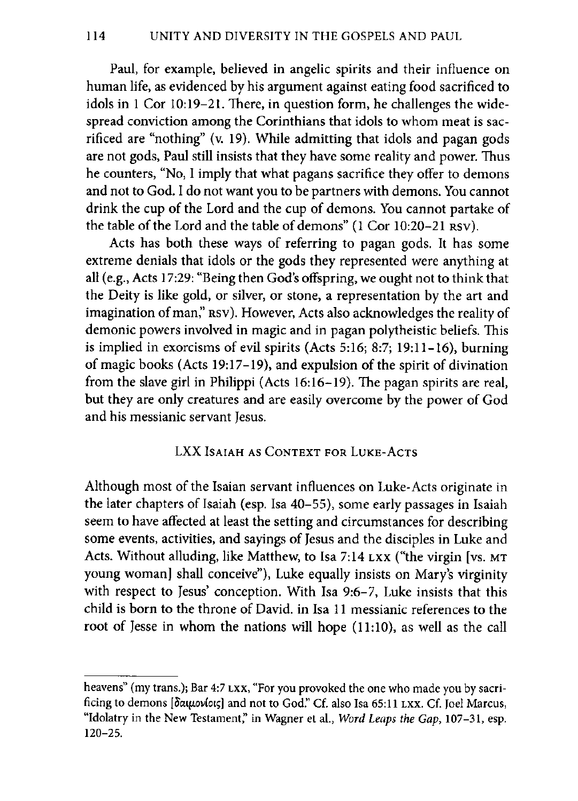Paul, for example, believed in angelic spirits and their influence on human life, as evidenced by his argument against eating food sacrificed to idols in 1 Cor 10:19-21. There, in question form, he challenges the widespread conviction among the Corinthians that idols to whom meat is sacrificed are "nothing" (v. 19). While admitting that idols and pagan gods are not gods, Paul still insists that they have some reality and power. Thus he counters, "No, I imply that what pagans sacrifice they offer to demons and not to God. I do not want you to be partners with demons. You cannot drink the cup of the Lord and the cup of demons. You cannot partake of the table of the Lord and the table of demons" (1 Cor 10:20-21 RSV).

Acts has both these ways of referring to pagan gods. It has some extreme denials that idols or the gods they represented were anything at all (e.g., Acts 17:29: "Being then God's offspring, we ought not to think that the Deity is like gold, or silver, or stone, a representation by the art and imagination of man;' RSV). However, Acts also acknowledges the reality of demonic powers involved in magic and in pagan polytheistic beliefs. This is implied in exorcisms of evil spirits (Acts 5:16; 8:7; 19:11-16), burning of magic books (Acts 19:17-19), and expulsion of the spirit of divination from the slave girl in Philippi (Acts 16:16-19). The pagan spirits are real, but they are only creatures and are easily overcome by the power of God and his messianic servant Jesus.

#### LXX ISAIAH AS CONTEXT FOR LUKE-AcTS

Although most of the Isaian servant influences on Luke-Acts originate in the later chapters of Isaiah (esp. Isa 40-55), some early passages in Isaiah seem to have affected at least the setting and circumstances for describing some events, activities, and sayings of Jesus and the disciples in Luke and Acts. Without alluding, like Matthew, to Isa 7:14 LXX ("the virgin [vs. MT young woman] shall conceive"), Luke equally insists on Mary's virginity with respect to Jesus' conception. With Isa 9:6-7, Luke insists that this child is born to the throne of David. in Isa 11 messianic references to the root of Jesse in whom the nations will hope (11:10), as well as the call

**heavens" (my trans.); Bar 4:7 LXX, "For you provoked the one who made you by sacri**ficing to demons [δαιμονίοις] and not to God." Cf. also Isa 65:11 LXX. Cf. Joel Marcus, "Idolatry in the New Testament," in Wagner et aI., *Word Leaps the Gap,* 107-31, esp. 120-25.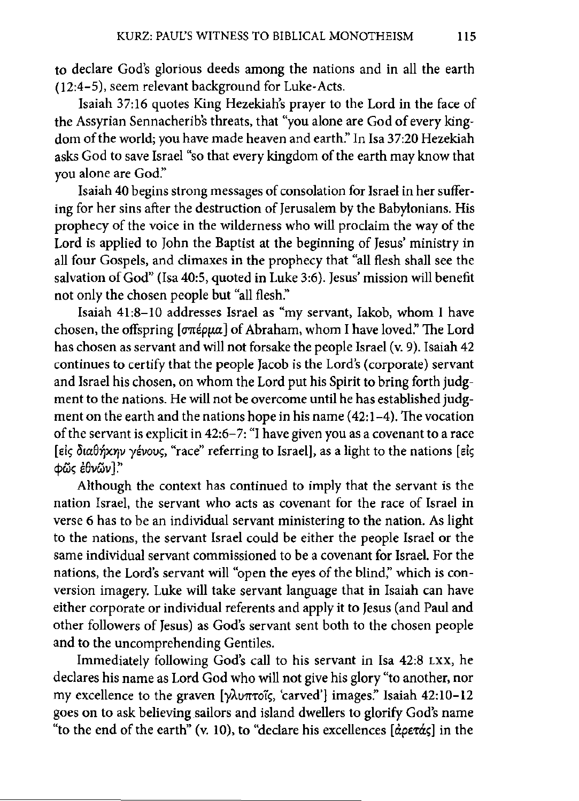to declare God's glorious deeds among the nations and in all the earth (12:4-5), seem relevant background for Luke-Acts.

Isaiah 37:16 quotes King Hezekiah's prayer to the Lord in the face of the Assyrian Sennacherib's threats, that "you alone are God of every kingdom of the world; you have made heaven and earth." In Isa 37:20 Hezekiah asks God to save Israel "so that every kingdom of the earth may know that you alone are God."

Isaiah 40 begins strong messages of consolation for Israel in her suffering for her sins after the destruction of jerusalem by the Babylonians. His prophecy of the voice in the wilderness who will proclaim the way of the Lord is applied to john the Baptist at the beginning of jesus' ministry in all four Gospels, and climaxes in the prophecy that "all flesh shall see the salvation of God" (Isa 40:5, quoted in Luke 3:6). jesus' mission will benefit not only the chosen people but "all flesh."

Isaiah 41 :8-10 addresses Israel as "my servant, lakob, whom I have chosen, the offspring  $[\sigma \pi \epsilon \rho \mu \alpha]$  of Abraham, whom I have loved." The Lord has chosen as servant and will not forsake the people Israel (v. 9). Isaiah 42 continues to certify that the people jacob is the Lord's (corporate) servant and Israel his chosen, on whom the Lord put his Spirit to bring forth judgment to the nations. He will not be overcome until he has established judgment on the earth and the nations hope in his name (42:1-4). The vocation of the servant is explicit in 42:6-7: "I have given you as a covenant to a race [είς διαθήκην γένους, "race" referring to Israel], as a light to the nations [είς φῶς ἐθνῶν]"

Although the context has continued to imply that the servant is the nation Israel, the servant who acts as covenant for the race of Israel in verse 6 has to be an individual servant ministering to the nation. As light to the nations, the servant Israel could be either the people Israel or the same individual servant commissioned to be a covenant for Israel. For the nations, the Lord's servant will "open the eyes of the blind," which is conversion imagery. Luke will take servant language that in Isaiah can have either corporate or individual referents and apply it to jesus (and Paul and other followers of jesus) as God's servant sent both to the chosen people and to the uncomprehending Gentiles.

Immediately following God's call to his servant in Isa 42:8 LXX, he declares his name as Lord God who will not give his glory "to another, nor my excellence to the graven [γλυπτοΐς, 'carved'] images." Isaiah 42:10-12 goes on to ask believing sailors and island dwellers to glorify God's name "to the end of the earth" (v. 10), to "declare his excellences  $\lceil \frac{d\rho}{d\rho} \rceil$  in the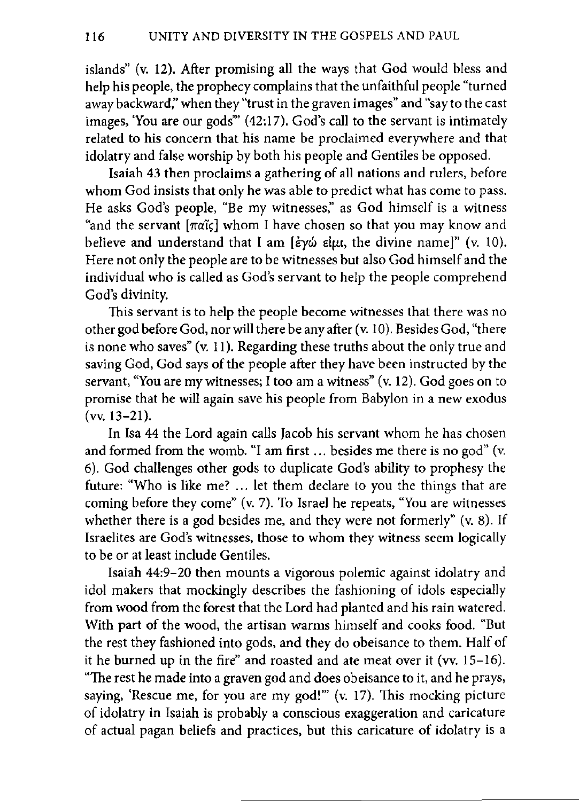islands" (v. 12). After promising all the ways that God would bless and help his people, the prophecy complains that the unfaithful people "turned away backward;' when they "trust in the graven images" and "say to the cast images, 'You are our gods'" (42:17). God's call to the servant is intimately related to his concern that his name be proclaimed everywhere and that idolatry and false worship by both his people and Gentiles be opposed.

Isaiah 43 then proclaims a gathering of all nations and rulers, before whom God insists that only he was able to predict what has come to pass. He asks God's people, "Be my witnesses," as God himself is a witness "and the servant  $[\pi a \tilde{\iota} \varsigma]$  whom I have chosen so that you may know and believe and understand that I am [ἐγώ εἰμι, the divine name]" (v. 10). Here not only the people are to be witnesses but also God himself and the individual who is called as God's servant to help the people comprehend God's divinity.

This servant is to help the people become witnesses that there was no other god before God, nor will there be any after (v. 10). Besides God, "there is none who saves" (v. II). Regarding these truths about the only true and saving God, God says of the people after they have been instructed by the servant, "You are my witnesses; I too am a witness" (v. 12). God goes on to promise that he will again save his people from Babylon in a new exodus (vv. 13-21).

In Isa 44 the Lord again calls Jacob his servant whom he has chosen and formed from the womb. "I am first ... besides me there is no god" (v. 6). God challenges other gods to duplicate God's ability to prophesy the future: "Who is like me? .,. let them declare to you the things that are coming before they come" (v. 7). To Israel he repeats, "You are witnesses whether there is a god besides me, and they were not formerly" (v. 8). If Israelites are God's witnesses, those to whom they witness seem logically to be or at least include Gentiles.

Isaiah 44:9-20 then mounts a vigorous polemic against idolatry and idol makers that mockingly describes the fashioning of idols especially from wood from the forest that the Lord had planted and his rain watered. With part of the wood, the artisan warms himself and cooks food. "But the rest they fashioned into gods, and they do obeisance to them. Half of it he burned up in the fire" and roasted and ate meat over it (vv. 15-16). "The rest he made into a graven god and does obeisance to it, and he prays, saying, 'Rescue me, for you are my god!'" (v. 17). This mocking picture of idolatry in Isaiah is probably a conscious exaggeration and caricature of actual pagan beliefs and practices, but this caricature of idolatry is a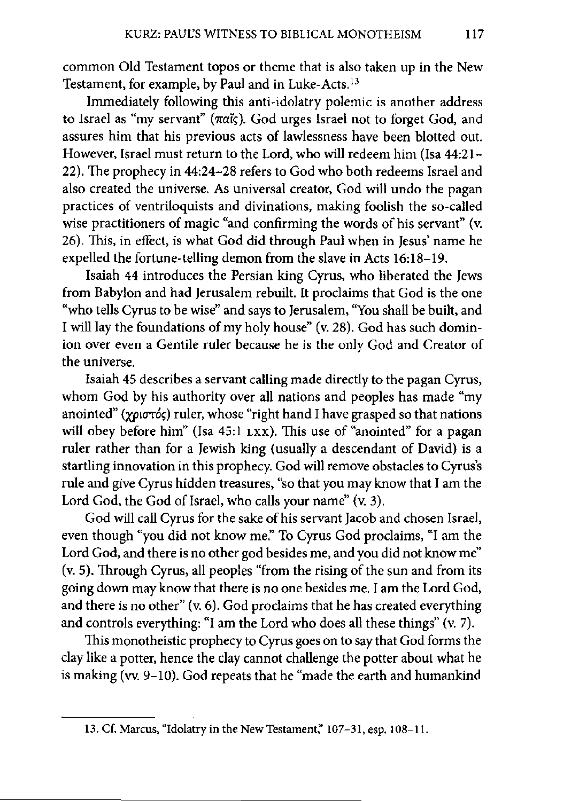common Old Testament topos or theme that is also taken up in the New Testament, for example, by Paul and in Luke-Acts.l3

Immediately following this anti-idolatry polemic is another address to Israel as "my servant" ( $\pi a\tilde{g}$ ). God urges Israel not to forget God, and assures him that his previous acts of lawlessness have been blotted out. However, Israel must return to the Lord, who will redeem him (Isa 44:21- 22). The prophecy in 44:24-28 refers to God who both redeems Israel and also created the universe. As universal creator, God will undo the pagan practices of ventriloquists and divinations, making foolish the so-called wise practitioners of magic "and confirming the words of his servant" (v. 26). This, in effect, is what God did through Paul when in Jesus' name he expelled the fortune-telling demon from the slave in Acts 16:18-19.

Isaiah 44 introduces the Persian king Cyrus, who liberated the Jews from Babylon and had Jerusalem rebuilt. It proclaims that God is the one "who tells Cyrus to be wise" and says to Jerusalem, "You shall be built, and I will lay the foundations of my holy house" (v. 28). God has such dominion over even a Gentile ruler because he is the only God and Creator of the universe.

Isaiah 45 describes a servant calling made directly to the pagan Cyrus, whom God by his authority over all nations and peoples has made "my anointed" ( $\gamma$  $\beta$ ( $\gamma$  $\sigma$  $\tau$  $\acute{o}$ s) ruler, whose "right hand I have grasped so that nations will obey before him" (Isa 45:1 LXX). This use of "anointed" for a pagan ruler rather than for a Jewish king (usually a descendant of David) is a startling innovation in this prophecy. God will remove obstacles to Cyrus's rule and give Cyrus hidden treasures, "so that you may know that I am the Lord God, the God of Israel, who calls your name" (v. 3).

God will call Cyrus for the sake of his servant Jacob and chosen Israel, even though "you did not know me:' To Cyrus God proclaims, "I am the Lord God, and there is no other god besides me, and you did not know me" (v. 5). Through Cyrus, all peoples "from the rising of the sun and from its going down may know that there is no one besides me. I am the Lord God, and there is no other" (v. 6). God proclaims that he has created everything and controls everything: "I am the Lord who does all these things" (v. 7).

This monotheistic prophecy to Cyrus goes on to say that God forms the clay like a potter, hence the clay cannot challenge the potter about what he is making (w. 9-10). God repeats that he "made the earth and humankind

<sup>13.</sup> Cf. Marcus, "Idolatry in the New Testament;' 107-31, esp. 108-11.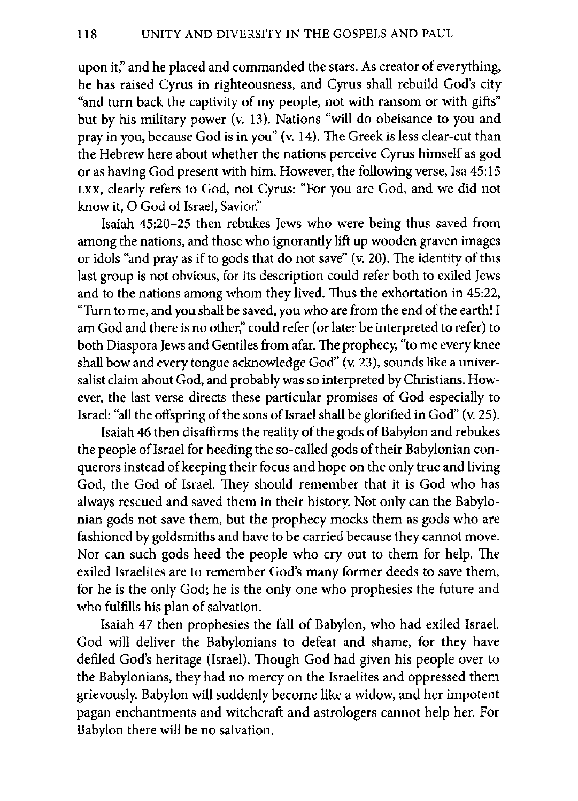upon it;' and he placed and commanded the stars. As creator of everything, he has raised Cyrus in righteousness, and Cyrus shall rebuild God's city "and turn back the captivity of my people, not with ransom or with gifts" but by his military power (v. 13). Nations "will do obeisance to you and pray in you, because God is in you" (v. 14). The Greek is less clear-cut than the Hebrew here about whether the nations perceive Cyrus himself as god or as having God present with him. However, the following verse, Isa 45: 15 LXX, clearly refers to God, not Cyrus: "For you are God, and we did not know it, O God of Israel, Savior."

Isaiah 45:20-25 then rebukes Jews who were being thus saved from among the nations, and those who ignorantly lift up wooden graven images or idols "and pray as if to gods that do not save" (v. 20). The identity of this last group is not obvious, for its description could refer both to exiled Jews and to the nations among whom they lived. Thus the exhortation in 45:22, "Turn to me, and you shall be saved, you who are from the end of the earth! I am God and there is no other," could refer (or later be interpreted to refer) to both Diaspora Jews and Gentiles from afar. The prophecy, "to me every knee shall bow and every tongue acknowledge God"  $(v. 23)$ , sounds like a universalist claim about God, and probably was so interpreted by Christians. However, the last verse directs these particular promises of God especially to Israel: "all the offspring of the sons of Israel shall be glorified in God" (v. 25).

Isaiah 46 then disaffirms the reality of the gods of Babylon and rebukes the people of Israel for heeding the so-called gods of their Babylonian conquerors instead of keeping their focus and hope on the only true and living God, the God of Israel. They should remember that it is God who has always rescued and saved them in their history. Not only can the Babylonian gods not save them, but the prophecy mocks them as gods who are fashioned by goldsmiths and have to be carried because they cannot move. Nor can such gods heed the people who cry out to them for help. The exiled Israelites are to remember God's many former deeds to save them, for he is the only God; he is the only one who prophesies the future and who fulfills his plan of salvation.

Isaiah 47 then prophesies the fall of Babylon, who had exiled Israel. God will deliver the Babylonians to defeat and shame, for they have defiled God's heritage (Israel). Though God had given his people over to the Babylonians, they had no mercy on the Israelites and oppressed them grievously. Babylon will suddenly become like a widow, and her impotent pagan enchantments and witchcraft and astrologers cannot help her. For Babylon there will be no salvation.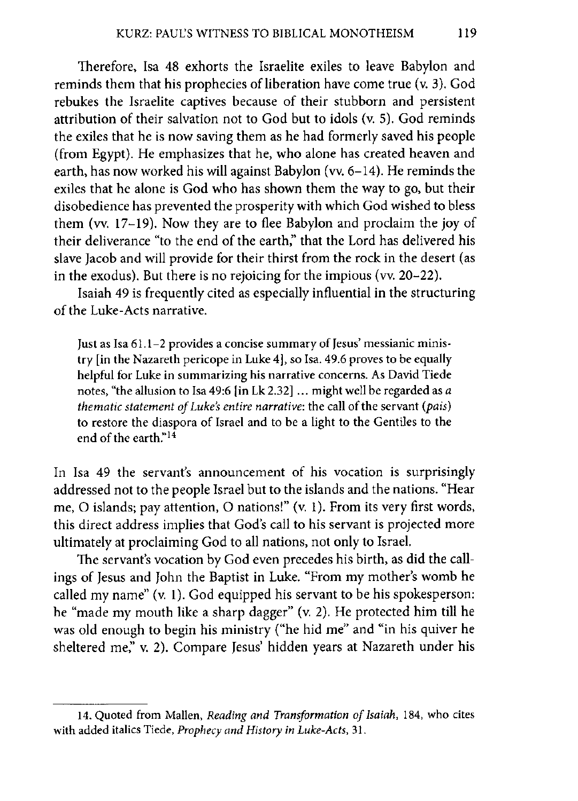Therefore, Isa 48 exhorts the Israelite exiles to leave Babylon and reminds them that his prophecies of liberation have come true (v. 3). God rebukes the Israelite captives because of their stubborn and persistent attribution of their salvation not to God but to idols (v. 5). God reminds the exiles that he is now saving them as he had formerly saved his people (from Egypt). He emphasizes that he, who alone has created heaven and earth, has now worked his will against Babylon (w. 6-14). He reminds the exiles that he alone is God who has shown them the way to go, but their disobedience has prevented the prosperity with which God wished to bless them (w. 17-19). Now they are to flee Babylon and proclaim the joy of their deliverance "to the end of the earth;' that the Lord has delivered his slave Jacob and will provide for their thirst from the rock in the desert (as in the exodus). But there is no rejoicing for the impious (w. 20-22).

Isaiah 49 is frequently cited as especially influential in the structuring of the Luke-Acts narrative.

**Just as Isa 61.1-2 provides a concise summary of Jesus' messianic** minis~ try [in the Nazareth pericope in Luke 4], so Isa. 49.6 proves to be equally **helpful for Luke in summarizing his narrative concerns. As David Tiede**  notes, "the allusion to Isa 49:6 [in Lk 2.32J ... might well be regarded as *a thematic statement of Luke's entire narrative:* **the call of the servant** *(pais)*  to restore the diaspora of Israel and to be a light to the Gentiles to the end of the earth  $^{\rm n14}$ 

In Isa 49 the servant's announcement of his vocation is surprisingly addressed not to the people Israel but to the islands and the nations. "Hear me, 0 islands; pay attention, 0 nations!" (v. 1). From its very first words, this direct address implies that God's call to his servant is projected more ultimately at proclaiming God to all nations, not only to Israel.

The servant's vocation by God even precedes his birth, as did the callings of Jesus and John the Baptist in Luke. "From my mother's womb he called my name" (v. I). God equipped his servant to be his spokesperson: he "made my mouth like a sharp dagger" (v. 2). He protected him till he was old enough to begin his ministry ("he hid me" and "in his quiver he sheltered me;' v. 2). Compare Jesus' hidden years at Nazareth under his

**<sup>14.</sup> Quoted from Mallen,** *Reading and Transformation of Isaiah,* **184, who cites with added italics Tiede,** *Prophecy and History in Luke-Acts, 31.*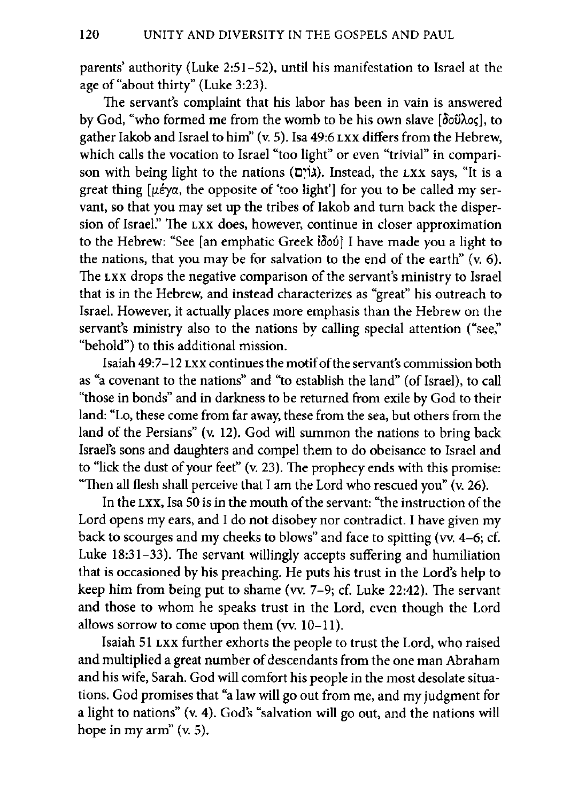parents' authority (Luke 2:51-52), until his manifestation to Israel at the age of "about thirty" (Luke 3:23).

The servant's complaint that his labor has been in vain is answered by God, "who formed me from the womb to be his own slave [δοῦλος], to gather lakob and Israel to him" (v. 5). Isa 49:6 LXX differs from the Hebrew, which calls the vocation to Israel "too light" or even "trivial" in comparison with being light to the nations (בוֹים). Instead, the LXX says, "It is a great thing  $[\mu \xi \gamma \alpha]$ , the opposite of 'too light'] for you to be called my servant, so that you may set up the tribes of lakob and turn back the dispersion of Israel." The LXX does, however, continue in closer approximation to the Hebrew: "See [an emphatic Greek ἰδού] I have made you a light to the nations, that you may be for salvation to the end of the earth"  $(v. 6)$ . The LXX drops the negative comparison of the servant's ministry to Israel that is in the Hebrew, and instead characterizes as "great" his outreach to Israel. However, it actually places more emphasis than the Hebrew on the servant's ministry also to the nations by calling special attention ("see," "behold") to this additional mission.

Isaiah 49:7-12 LXX continues the motif of the servant's commission both as "a covenant to the nations" and "to establish the land" (of Israel), to call "those in bonds" and in darkness to be returned from exile by God to their land: "Lo, these come from far away, these from the sea, but others from the land of the Persians" (v. 12). God will summon the nations to bring back Israel's sons and daughters and compel them to do obeisance to Israel and to "lick the dust of your feet" (v. 23). The prophecy ends with this promise: "Then all flesh shall perceive that I am the Lord who rescued you" (v. 26).

In the LXX, Isa 50 is in the mouth of the servant: "the instruction of the Lord opens my ears, and I do not disobey nor contradict. I have given my back to scourges and my cheeks to blows" and face to spitting (vv. 4-6; cf. Luke 18:31-33). The servant willingly accepts suffering and humiliation that is occasioned by his preaching. He puts his trust in the Lord's help to keep him from being put to shame (vv. 7-9; cf. Luke 22:42). The servant and those to whom he speaks trust in the Lord, even though the Lord allows sorrow to come upon them (vv. 10-11).

Isaiah 51 LXX further exhorts the people to trust the Lord, who raised and multiplied a great number of descendants from the one man Abraham and his wife, Sarah. God will comfort his people in the most desolate situations. God promises that "a law will go out from me, and my judgment for a light to nations" (v. 4). God's "salvation will go out, and the nations will hope in my arm" (v. 5).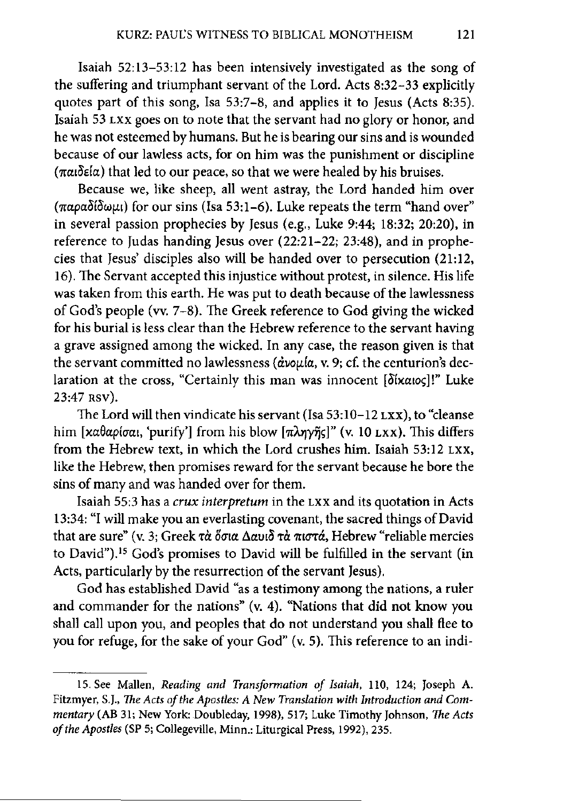Isaiah 52:13-53:12 has been intensively investigated as the song of the suffering and triumphant servant of the Lord. Acts 8:32-33 explicitly quotes part of this song, Isa 53:7-8, and applies it to Jesus (Acts 8:35). Isaiah 53 LXX goes on to note that the servant had no glory or honor, and he was not esteemed by humans. But he is bearing our sins and is wounded because of our lawless acts, for on him was the punishment or discipline  $(\pi\alpha\delta\epsilon\alpha)$  that led to our peace, so that we were healed by his bruises.

Because we, like sheep, all went astray, the Lord handed him over (παραδίδωμι) for our sins (Isa 53:1-6). Luke repeats the term "hand over" in several passion prophecies by Jesus (e.g., Luke 9:44; 18:32; 20:20), in reference to Judas handing Jesus over (22:21-22; 23:48), and in prophecies that Jesus' disciples also will be handed over to persecution (21:12, 16). The Servant accepted this injustice without protest, in silence. His life was taken from this earth. He was put to death because of the lawlessness of God's people (vv. 7-8). The Greek reference to God giving the wicked for his burial is less clear than the Hebrew reference to the servant having a grave assigned among the wicked. In any case, the reason given is that the servant committed no lawlessness *(avoula, v. 9; cf. the centurion's dec*laration at the cross, "Certainly this man was innocent  $[\delta x]$ ." Luke 23:47 RSV).

The Lord will then vindicate his servant (Isa 53:10-12 LXX), to "cleanse him [καθαρίσαι, 'purify'] from his blow  $[πληγη̃<sub>5</sub>]'$ " (v. 10 LXX). This differs from the Hebrew text, in which the Lord crushes him. Isaiah 53:12 LXX, like the Hebrew, then promises reward for the servant because he bore the sins of many and was handed over for them.

Isaiah 55:3 has a *crux interpretum* in the LXX and its quotation in Acts 13:34: "I will make you an everlasting covenant, the sacred things of David that are sure" (v. 3; Greek τὰ ὅσια Δαυιδ τὰ πιστά, Hebrew "reliable mercies to David'').!s God's promises to David will be fulfilled in the servant (in Acts, particularly by the resurrection of the servant Jesus).

God has established David "as a testimony among the nations, a ruler and commander for the nations" (v. 4). "Nations that did not know you shall call upon you, and peoples that do not understand you shall flee to you for refuge, for the sake of your God" (v. 5). This reference to an indi-

<sup>15.</sup> See Mallen, *Reading and Transformation of Isaiah,* 110, 124; joseph A. **Fitzmyer, S.J., The** *Acts of the Apostles: A New Translation with Introduction and Commentary* (AB 31; New York: Doubleday, 1998), 517; Luke Timothy johnson, The *Acts*  of the Apostles (SP 5; Collegeville, Minn.: Liturgical Press, 1992), 235.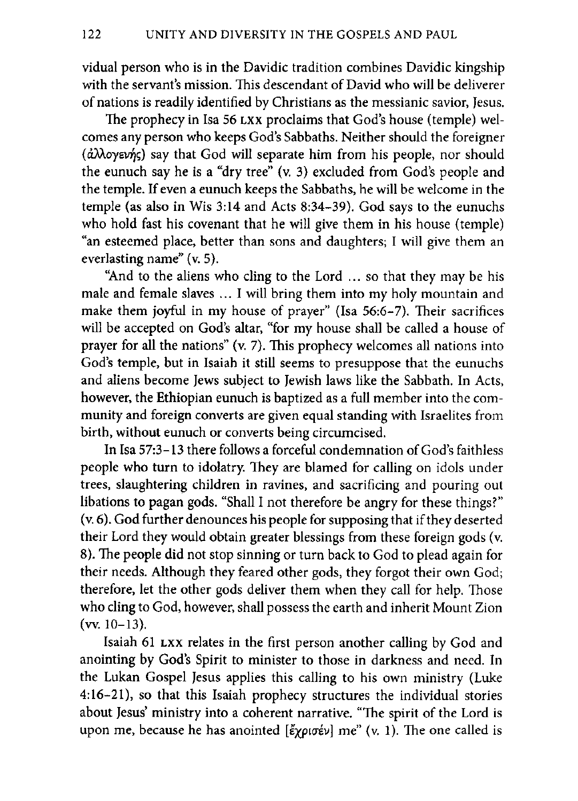vidual person who is in the Davidic tradition combines Davidic kingship with the servant's mission. This descendant of David who will be deliverer of nations is readily identified by Christians as the messianic savior, Jesus.

The prophecy in Isa 56 LXX proclaims that God's house (temple) welcomes any person who keeps God's Sabbaths. Neither should the foreigner  $(d\lambda\lambda oy \epsilon v\eta\varsigma)$  say that God will separate him from his people, nor should the eunuch say he is a "dry tree" (v. 3) excluded from God's people and the temple. If even a eunuch keeps the Sabbaths, he will be welcome in the temple (as also in Wis 3:14 and Acts 8:34-39). God says to the eunuchs who hold fast his covenant that he will give them in his house (temple) "an esteemed place, better than sons and daughters; I will give them an everlasting name" (v. 5).

"And to the aliens who cling to the Lord ... so that they may be his male and female slaves ... I will bring them into my holy mountain and make them joyful in my house of prayer" (Isa 56:6-7). Their sacrifices will be accepted on God's altar, "for my house shall be called a house of prayer for all the nations" (v. 7). This prophecy welcomes all nations into God's temple, but in Isaiah it still seems to presuppose that the eunuchs and aliens become Jews subject to Jewish laws like the Sabbath. In Acts, however, the Ethiopian eunuch is baptized as a full member into the community and foreign converts are given equal standing with Israelites from birth, without eunuch or converts being circumcised.

In Isa 57:3-13 there follows a forceful condemnation of God's faithless people who turn to idolatry. They are blamed for calling on idols under trees, slaughtering children in ravines, and sacrificing and pouring out libations to pagan gods. "Shall I not therefore be angry for these things?" (v. 6). God further denounces his people for supposing that if they deserted their Lord they would obtain greater blessings from these foreign gods (v. 8). The people did not stop sinning or turn back to God to plead again for their needs. Although they feared other gods, they forgot their own God; therefore, let the other gods deliver them when they call for help. Those who cling to God, however, shall possess the earth and inherit Mount Zion  $(vv. 10-13)$ .

Isaiah 61 LXX relates in the first person another calling by God and anointing by God's Spirit to minister to those in darkness and need. In the Lukan Gospel Jesus applies this calling to his own ministry (Luke 4:16-21), so that this Isaiah prophecy structures the individual stories about Jesus' ministry into a coherent narrative. "The spirit of the Lord is upon me, because he has anointed  $[\xi \gamma \rho \sigma \xi \nu]$  me" (v. 1). The one called is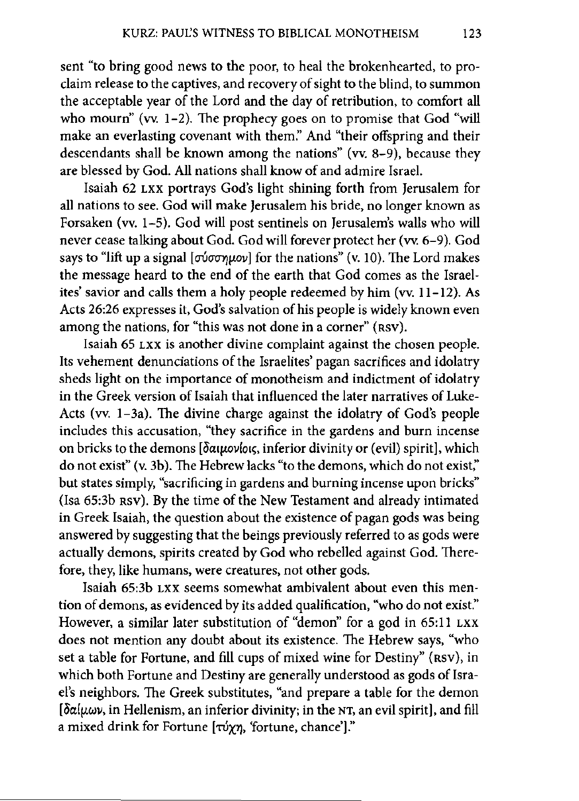sent "to bring good news to the poor, to heal the brokenhearted, to proclaim release to the captives, and recovery of sight to the blind, to summon the acceptable year of the Lord and the day of retribution, to comfort all who mourn" (vv. 1-2). The prophecy goes on to promise that God "will make an everlasting covenant with them:' And "their offspring and their descendants shall be known among the nations" (vv. 8-9), because they are blessed by God. All nations shall know of and admire Israel.

Isaiah 62 LXX portrays God's light shining forth from Jerusalem for all nations to see. God will make Jerusalem his bride, no longer known as Forsaken (vv. 1-5). God will post sentinels on Jerusalem's walls who will never cease talking about God. God will forever protect her (vv. 6-9). God says to "lift up a signal [σύσσημον] for the nations" (v. 10). The Lord makes the message heard to the end of the earth that God comes as the Israelites' savior and calls them a holy people redeemed by him (vv. 11-12). As Acts 26:26 expresses it, God's salvation of his people is widely known even among the nations, for "this was not done in a corner" (RSV).

Isaiah 65 LXX is another divine complaint against the chosen people. Its vehement denunciations of the Israelites' pagan sacrifices and idolatry sheds light on the importance of monotheism and indictment of idolatry in the Greek version of Isaiah that influenced the later narratives of Luke-Acts (vv. 1-3a). The divine charge against the idolatry of God's people includes this accusation, "they sacrifice in the gardens and burn incense on bricks to the demons  $\delta$ alfloviol, inferior divinity or (evil) spirit], which do not exist" (v. 3b). The Hebrew lacks "to the demons, which do not exist," but states simply, "sacrificing in gardens and burning incense upon bricks" (Isa 65:3b RSV). By the time of the New Testament and already intimated in Greek Isaiah, the question about the existence of pagan gods was being answered by suggesting that the beings previously referred to as gods were actually demons, spirits created by God who rebelled against God. Therefore, they, like humans, were creatures, not other gods.

Isaiah 65:3b LXX seems somewhat ambivalent about even this mention of demons, as evidenced by its added qualification, "who do not exist." However, a similar later substitution of "demon" for a god in 65:11 LXX does not mention any doubt about its existence. The Hebrew says, "who set a table for Fortune, and fill cups of mixed wine for Destiny" (RSV), in which both Fortune and Destiny are generally understood as gods of Israel's neighbors. The Greek substitutes, "and prepare a table for the demon [δαίμων, in Hellenism, an inferior divinity; in the NT, an evil spirit], and fill a mixed drink for Fortune [τύχη, 'fortune, chance']."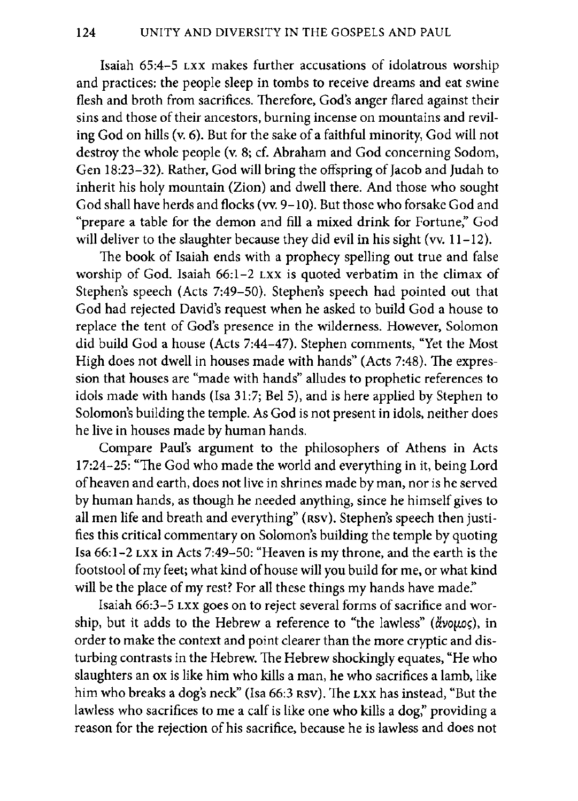Isaiah 65:4-5 LXX makes further accusations of idolatrous worship and practices: the people sleep in tombs to receive dreams and eat swine flesh and broth from sacrifices. Therefore, God's anger flared against their sins and those of their ancestors, burning incense on mountains and reviling God on hills (v. 6). But for the sake of a faithful minority, God will not destroy the whole people (v. 8; cf. Abraham and God concerning Sodom, Gen 18:23-32). Rather, God will bring the offspring of Jacob and Judah to inherit his holy mountain (Zion) and dwell there. And those who sought God shall have herds and flocks (vv. 9-10). But those who forsake God and "prepare a table for the demon and fill a mixed drink for Fortune;' God will deliver to the slaughter because they did evil in his sight (vv. 11-12).

The book of Isaiah ends with a prophecy spelling out true and false worship of God. Isaiah 66:1-2 LXX is quoted verbatim in the climax of Stephen's speech (Acts 7:49-50). Stephen's speech had pointed out that God had rejected David's request when he asked to build God a house to replace the tent of God's presence in the wilderness. However, Solomon did build God a house (Acts 7:44-47). Stephen comments, "Yet the Most High does not dwell in houses made with hands" (Acts 7:48). The expression that houses are "made with hands" alludes to prophetic references to idols made with hands (Isa 31:7; Bel 5), and is here applied by Stephen to Solomon's building the temple. As God is not present in idols, neither does he live in houses made by human hands.

Compare Paul's argument to the philosophers of Athens in Acts 17:24-25: "The God who made the world and everything in it, being Lord of heaven and earth, does not live in shrines made by man, nor is he served by human hands, as though he needed anything, since he himself gives to all men life and breath and everything" (RSV). Stephen's speech then justifies this critical commentary on Solomon's building the temple by quoting Isa 66:1-2 LXX in Acts 7:49-50: "Heaven is my throne, and the earth is the footstool of my feet; what kind of house will you build for me, or what kind will be the place of my rest? For all these things my hands have made."

Isaiah 66:3-5 LXX goes on to reject several forms of sacrifice and worship, but it adds to the Hebrew a reference to "the lawless" (ἄνομος), in order to make the context and point clearer than the more cryptic and disturbing contrasts in the Hebrew. The Hebrew shockingly equates, "He who slaughters an ox is like him who kills a man, he who sacrifices a lamb, like him who breaks a dog's neck" (Isa 66:3 RSV). The LXX has instead, "But the lawless who sacrifices to me a calf is like one who kills a dog," providing a reason for the rejection of his sacrifice, because he is lawless and does not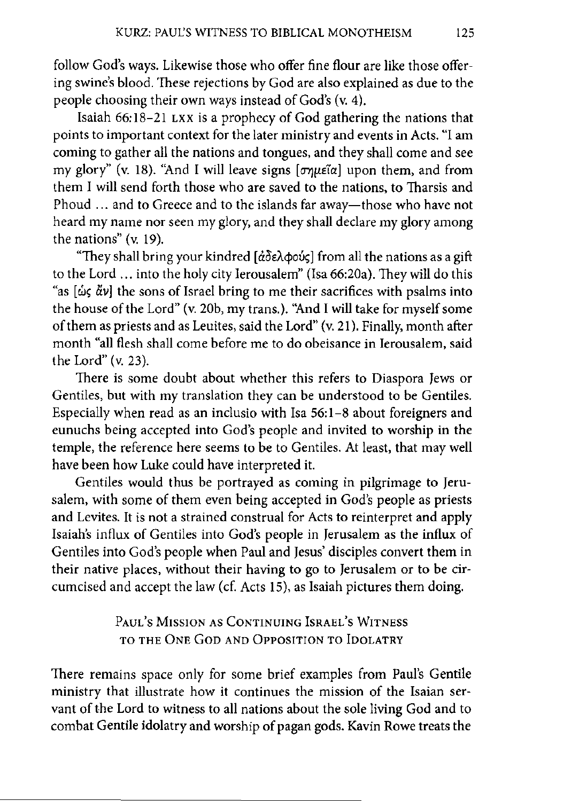follow God's ways. Likewise those who offer fine flour are like those offering swine's blood. These rejections by God are also explained as due to the people choosing their own ways instead of God's (v. 4).

Isaiah 66:18-21 LXX is a prophecy of God gathering the nations that points to important context for the later ministry and events in Acts. "I am coming to gather all the nations and tongues, and they shall come and see my glory" (v. 18). "And I will leave signs  $[\sigma \eta \mu \epsilon \tilde{\alpha}]$  upon them, and from them I will send forth those who are saved to the nations, to Tharsis and Phoud ... and to Greece and to the islands far away—those who have not heard my name nor seen my glory, and they shall declare my glory among the nations" (v. 19).

"They shall bring your kindred  $[d\delta \epsilon \lambda \phi \omega \zeta]$  from all the nations as a gift to the Lord ... into the holy city Ierousalem" (Isa 66:20a). They will do this "as  $[\omega \varsigma \, d\nu]$  the sons of Israel bring to me their sacrifices with psalms into the house of the Lord" (v. 20b, my trans.). "And I will take for myself some of them as priests and as Leuites, said the Lord" (v. 21). Finally, month after month "all flesh shall come before me to do obeisance in Ierousalem, said the Lord" (v. 23).

There is some doubt about whether this refers to Oiaspora Jews or Gentiles, but with my translation they can be understood to be Gentiles. Especially when read as an inclusio with Isa 56: 1-8 about foreigners and eunuchs being accepted into God's people and invited to worship in the temple, the reference here seems to be to Gentiles. At least, that may well have been how Luke could have interpreted it.

Gentiles would thus be portrayed as coming in pilgrimage to Jerusalem, with some of them even being accepted in God's people as priests and Levites. It is not a strained construal for Acts to reinterpret and apply Isaiah's influx of Gentiles into God's people in Jerusalem as the influx of Gentiles into God's people when Paul and Jesus' disciples convert them in their native places, without their having to go to Jerusalem or to be circumcised and accept the law (cf. Acts 15), as Isaiah pictures them doing.

> PAUL'S MISSION AS CONTINUING ISRAEL'S WITNESS TO THE ONE GOD AND OPPOSITION TO IDOLATRY

There remains space only for some brief examples from Paul's Gentile ministry that illustrate how it continues the mission of the Isaian servant of the Lord to witness to all nations about the sole living God and to combat Gentile idolatry and worship of pagan gods. Kavin Rowe treats the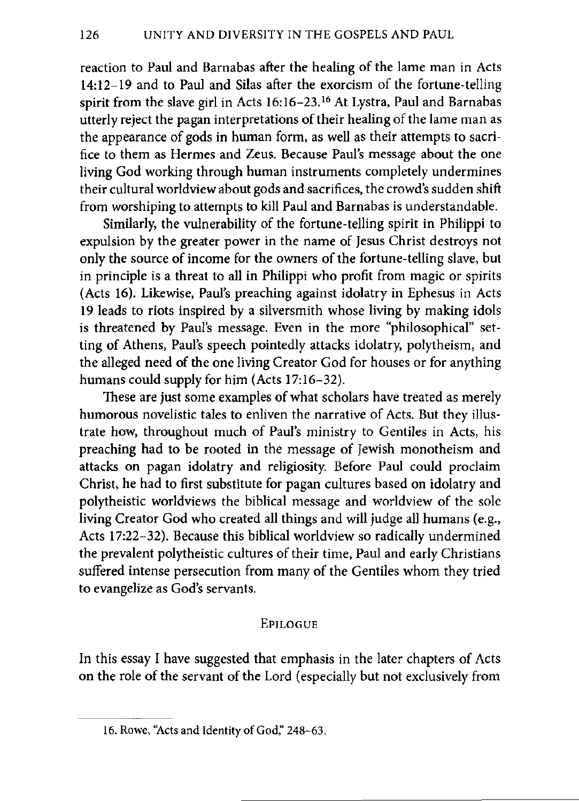reaction to Paul and Barnabas after the healing of the lame man in Acts 14:12-19 and to Paul and Silas after the exorcism of the fortune-telling spirit from the slave girl in Acts 16:16-23.16 At Lystra, Paul and Barnabas utterly reject the pagan interpretations of their healing of the lame man as the appearance of gods in human form, as well as their attempts to sacrifice to them as Hermes and Zeus. Because Paul's message about the one living God working through human instruments completely undermines their cultural worldview about gods and sacrifices, the crowd's sudden shift from worshiping to attempts to kill Paul and Barnabas is understandable.

Similarly, the vulnerability of the fortune-telling spirit in Philippi to expulsion by the greater power in the name of Jesus Christ destroys not only the source of income for the owners of the fortune-telling slave, but in principle is a threat to all in Philippi who profit from magic or spirits (Acts 16). Likewise, Paul's preaching against idolatry in Ephesus in Acts 19 leads to riots inspired by a silversmith whose living by making idols is threatened by Paul's message. Even in the more "philosophical" setting of Athens, Paul's speech pointedly attacks idolatry, polytheism, and the alleged need of the one living Creator God for houses or for anything humans could supply for him (Acts 17:16-32).

These are just some examples of what scholars have treated as merely humorous novelistic tales to enliven the narrative of Acts. But they illustrate how, throughout much of Paul's ministry to Gentiles in Acts, his preaching had to be rooted in the message of Jewish monotheism and attacks on pagan idolatry and religiosity. Before Paul could proclaim Christ, he had to first substitute for pagan cultures based on idolatry and polytheistic worldviews the biblical message and worldview of the sole living Creator God who created all things and will judge all humans (e.g., Acts 17:22-32). Because this biblical worldview so radically undermined the prevalent polytheistic cultures of their time, Paul and early Christians suffered intense persecution from many of the Gentiles whom they tried to evangelize as God's servants.

#### EPILOGUE

In this essay I have suggested that emphasis in the later chapters of Acts on the role of the servant of the Lord (especially but not exclusively from

<sup>16.</sup> Rowe, "Acts and Identity of God," 248-63.